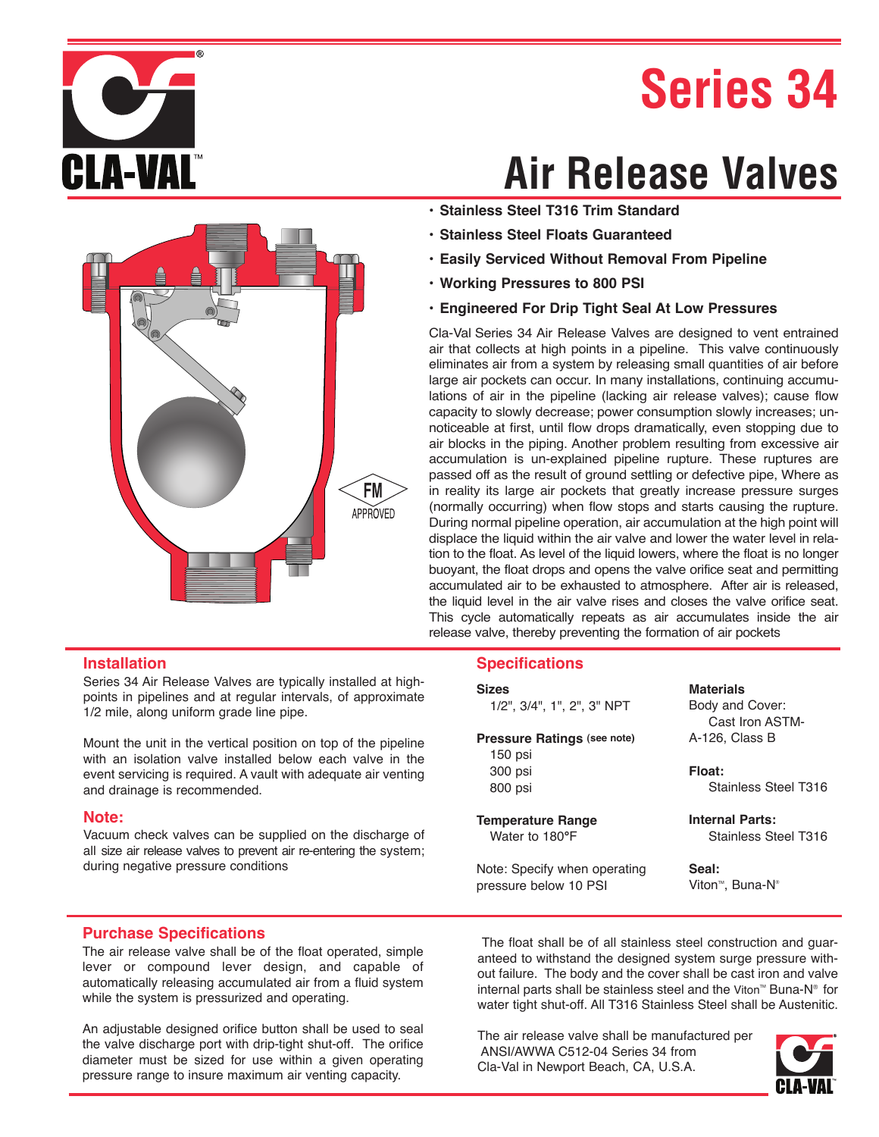## **Series 34**





### **Air Release Valves**

- **Stainless Steel T316 Trim Standard**
- **Stainless Steel Floats Guaranteed**
- **Easily Serviced Without Removal From Pipeline**
- **Working Pressures to 800 PSI**
- **Engineered For Drip Tight Seal At Low Pressures**

Cla-Val Series 34 Air Release Valves are designed to vent entrained air that collects at high points in a pipeline. This valve continuously eliminates air from a system by releasing small quantities of air before large air pockets can occur. In many installations, continuing accumulations of air in the pipeline (lacking air release valves); cause flow capacity to slowly decrease; power consumption slowly increases; unnoticeable at first, until flow drops dramatically, even stopping due to air blocks in the piping. Another problem resulting from excessive air accumulation is un-explained pipeline rupture. These ruptures are passed off as the result of ground settling or defective pipe, Where as in reality its large air pockets that greatly increase pressure surges (normally occurring) when flow stops and starts causing the rupture. During normal pipeline operation, air accumulation at the high point will displace the liquid within the air valve and lower the water level in relation to the float. As level of the liquid lowers, where the float is no longer buoyant, the float drops and opens the valve orifice seat and permitting accumulated air to be exhausted to atmosphere. After air is released, the liquid level in the air valve rises and closes the valve orifice seat. This cycle automatically repeats as air accumulates inside the air release valve, thereby preventing the formation of air pockets

#### **Specifications**

| Sizes |  |
|-------|--|
|       |  |

1/2", 3/4", 1", 2", 3" NPT

**Pressure Ratings (see note)** 150 psi 300 psi 800 psi

**Temperature Range** Water to 180**°**F

Note: Specify when operating pressure below 10 PSI

**Materials** Body and Cover: Cast Iron ASTM-A-126, Class B

**Float:** Stainless Steel T316

**Internal Parts:** Stainless Steel T316

**Seal:**  Viton<sup>™</sup>, Buna-N<sup>®</sup>

#### **Purchase Specifications**

during negative pressure conditions

and drainage is recommended.

**Installation**

**Note:**

The air release valve shall be of the float operated, simple lever or compound lever design, and capable of automatically releasing accumulated air from a fluid system while the system is pressurized and operating.

Series 34 Air Release Valves are typically installed at highpoints in pipelines and at regular intervals, of approximate

Mount the unit in the vertical position on top of the pipeline with an isolation valve installed below each valve in the event servicing is required. A vault with adequate air venting

Vacuum check valves can be supplied on the discharge of all size air release valves to prevent air re-entering the system;

1/2 mile, along uniform grade line pipe.

An adjustable designed orifice button shall be used to seal the valve discharge port with drip-tight shut-off. The orifice diameter must be sized for use within a given operating pressure range to insure maximum air venting capacity.

The float shall be of all stainless steel construction and guaranteed to withstand the designed system surge pressure without failure. The body and the cover shall be cast iron and valve internal parts shall be stainless steel and the Viton<sup> $M$ </sup> Buna-N<sup>®</sup> for water tight shut-off. All T316 Stainless Steel shall be Austenitic.

The air release valve shall be manufactured per ANSI/AWWA C512-04 Series 34 from Cla-Val in Newport Beach, CA, U.S.A.

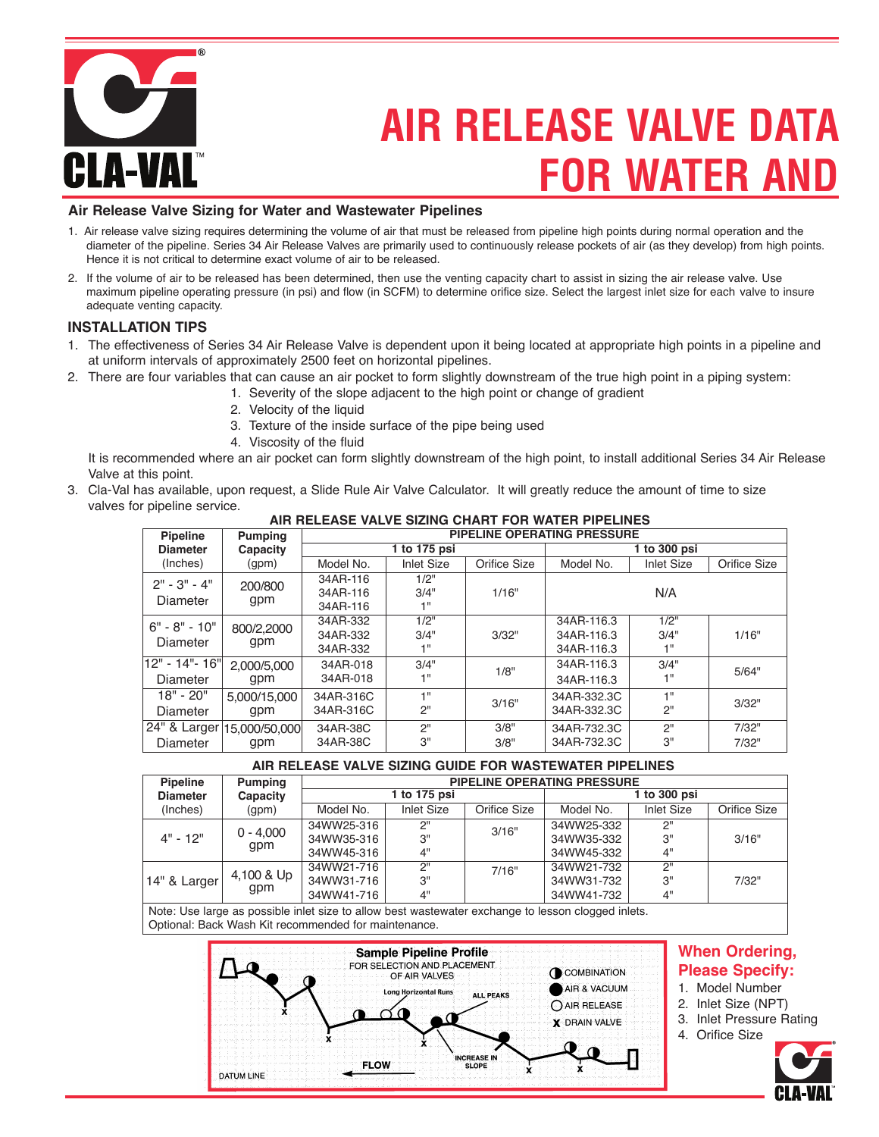

### **FOR WATER AND AIR RELEASE VALVE DATA**

#### **Air Release Valve Sizing for Water and Wastewater Pipelines**

- 1. Air release valve sizing requires determining the volume of air that must be released from pipeline high points during normal operation and the diameter of the pipeline. Series 34 Air Release Valves are primarily used to continuously release pockets of air (as they develop) from high points. Hence it is not critical to determine exact volume of air to be released.
- 2. If the volume of air to be released has been determined, then use the venting capacity chart to assist in sizing the air release valve. Use maximum pipeline operating pressure (in psi) and flow (in SCFM) to determine orifice size. Select the largest inlet size for each valve to insure adequate venting capacity.

#### **INSTALLATION TIPS**

- 1. The effectiveness of Series 34 Air Release Valve is dependent upon it being located at appropriate high points in a pipeline and at uniform intervals of approximately 2500 feet on horizontal pipelines.
- 2. There are four variables that can cause an air pocket to form slightly downstream of the true high point in a piping system:
	- 1. Severity of the slope adjacent to the high point or change of gradient
		- 2. Velocity of the liquid
		- 3. Texture of the inside surface of the pipe being used
		- 4. Viscosity of the fluid

It is recommended where an air pocket can form slightly downstream of the high point, to install additional Series 34 Air Release Valve at this point.

3. Cla-Val has available, upon request, a Slide Rule Air Valve Calculator. It will greatly reduce the amount of time to size valves for pipeline service.

| <b>Pipeline</b> | <b>Pumping</b>             | PIPELINE OPERATING PRESSURE |                   |              |              |                   |              |
|-----------------|----------------------------|-----------------------------|-------------------|--------------|--------------|-------------------|--------------|
| <b>Diameter</b> | Capacity                   | 1 to 175 psi                |                   |              | 1 to 300 psi |                   |              |
| (Inches)        | (gpm)                      | Model No.                   | <b>Inlet Size</b> | Orifice Size | Model No.    | <b>Inlet Size</b> | Orifice Size |
| $2" - 3" - 4"$  | 200/800                    | 34AR-116                    | 1/2"              |              |              |                   |              |
| Diameter        | gpm                        | 34AR-116                    | 3/4"              | 1/16"        |              | N/A               |              |
|                 |                            | 34AR-116                    | 4 !!              |              |              |                   |              |
| $6" - 8" - 10"$ | 800/2,2000                 | 34AR-332                    | 1/2"              |              | 34AR-116.3   | 1/2"              |              |
| Diameter        | gpm                        | 34AR-332                    | 3/4"              | 3/32"        | 34AR-116.3   | 3/4"              | 1/16"        |
|                 |                            | 34AR-332                    | 1"                |              | 34AR-116.3   | 1"                |              |
| 12" - 14"- 16"  | 2.000/5.000                | 34AR-018                    | 3/4"              | 1/8"         | 34AR-116.3   | 3/4"              | 5/64"        |
| Diameter        | gpm                        | 34AR-018                    | 4 II              |              | 34AR-116.3   | 4 H               |              |
| $18" - 20"$     | 5.000/15.000               | 34AR-316C                   | 411               | 3/16"        | 34AR-332.3C  | 4H                | 3/32"        |
| Diameter        | gpm                        | 34AR-316C                   | 2"                |              | 34AR-332.3C  | 2"                |              |
|                 | 24" & Larger 15,000/50,000 | 34AR-38C                    | 2"                | 3/8"         | 34AR-732.3C  | 2"                | 7/32"        |
| <b>Diameter</b> | gpm                        | 34AR-38C                    | 3"                | 3/8"         | 34AR-732.3C  | 3"                | 7/32"        |

**AIR RELEASE VALVE SIZING CHART FOR WATER PIPELINES**

#### **AIR RELEASE VALVE SIZING GUIDE FOR WASTEWATER PIPELINES**

| <b>Pipeline</b> | Pumping     |              | <b>PIPELINE OPERATING PRESSURE</b> |              |            |                   |              |  |
|-----------------|-------------|--------------|------------------------------------|--------------|------------|-------------------|--------------|--|
| <b>Diameter</b> | Capacity    | 1 to 175 psi |                                    |              |            | 1 to 300 psi      |              |  |
| (Inches)        | (gpm)       | Model No.    | <b>Inlet Size</b>                  | Orifice Size | Model No.  | <b>Inlet Size</b> | Orifice Size |  |
|                 | $0 - 4,000$ | 34WW25-316   | 2"                                 | 3/16"        | 34WW25-332 | 2"                |              |  |
| $4" - 12"$      |             | 34WW35-316   | 3"                                 |              | 34WW35-332 | 3"                | 3/16"        |  |
|                 | gpm         | 34WW45-316   | 4"                                 |              | 34WW45-332 | 4"                |              |  |
|                 |             | 34WW21-716   | 2"                                 | 7/16"        | 34WW21-732 | 2"                |              |  |
| 14" & Larger    | 4,100 & Up  | 34WW31-716   | 3"                                 |              | 34WW31-732 | 3"                | 7/32"        |  |
|                 | gpm         | 34WW41-716   | 4"                                 |              | 34WW41-732 | 4"                |              |  |

Note: Use large as possible inlet size to allow best wastewater exchange to lesson clogged inlets. Optional: Back Wash Kit recommended for maintenance.



#### **When Ordering, Please Specify:**

- 1. Model Number
- 2. Inlet Size (NPT)
	- 3. Inlet Pressure Rating
	- 4. Orifice Size

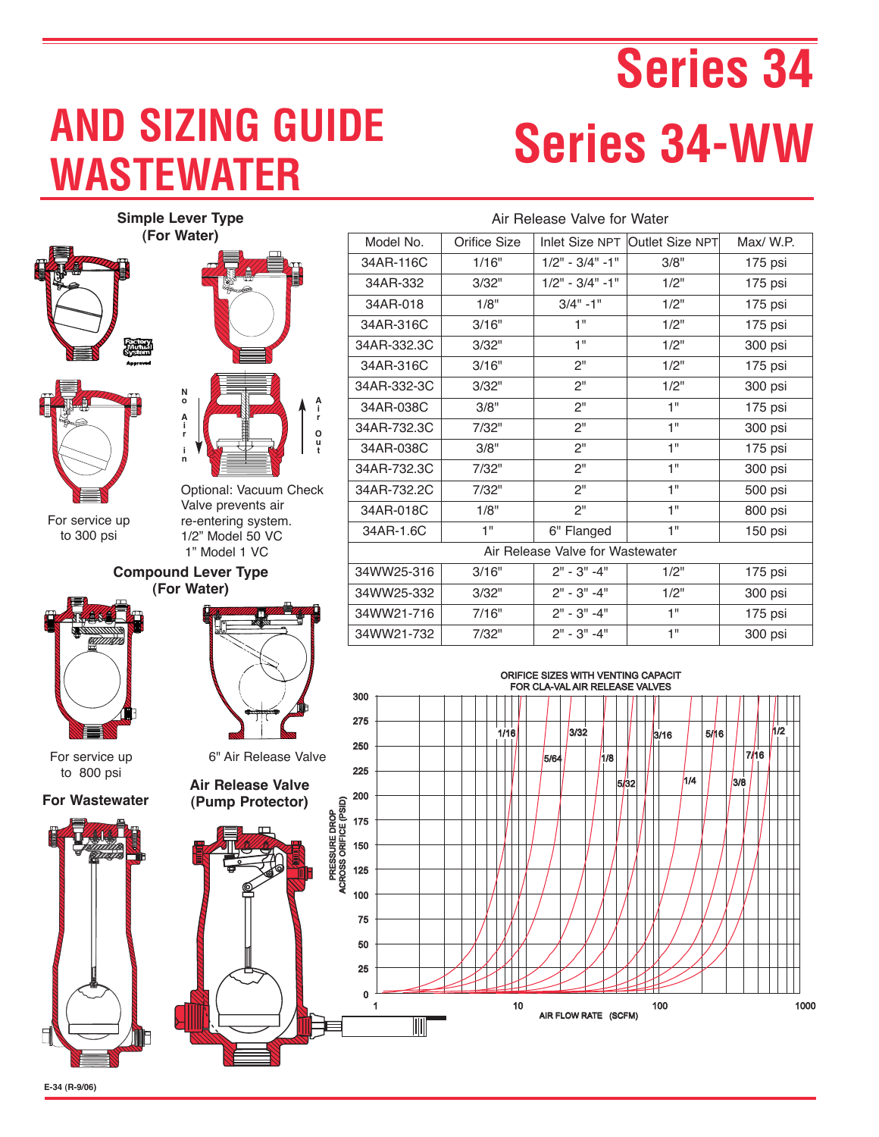## **WASTEWATER AND SIZING GUIDE**

# **Series 34 Series 34-WW**

3/8

7/16

1/2

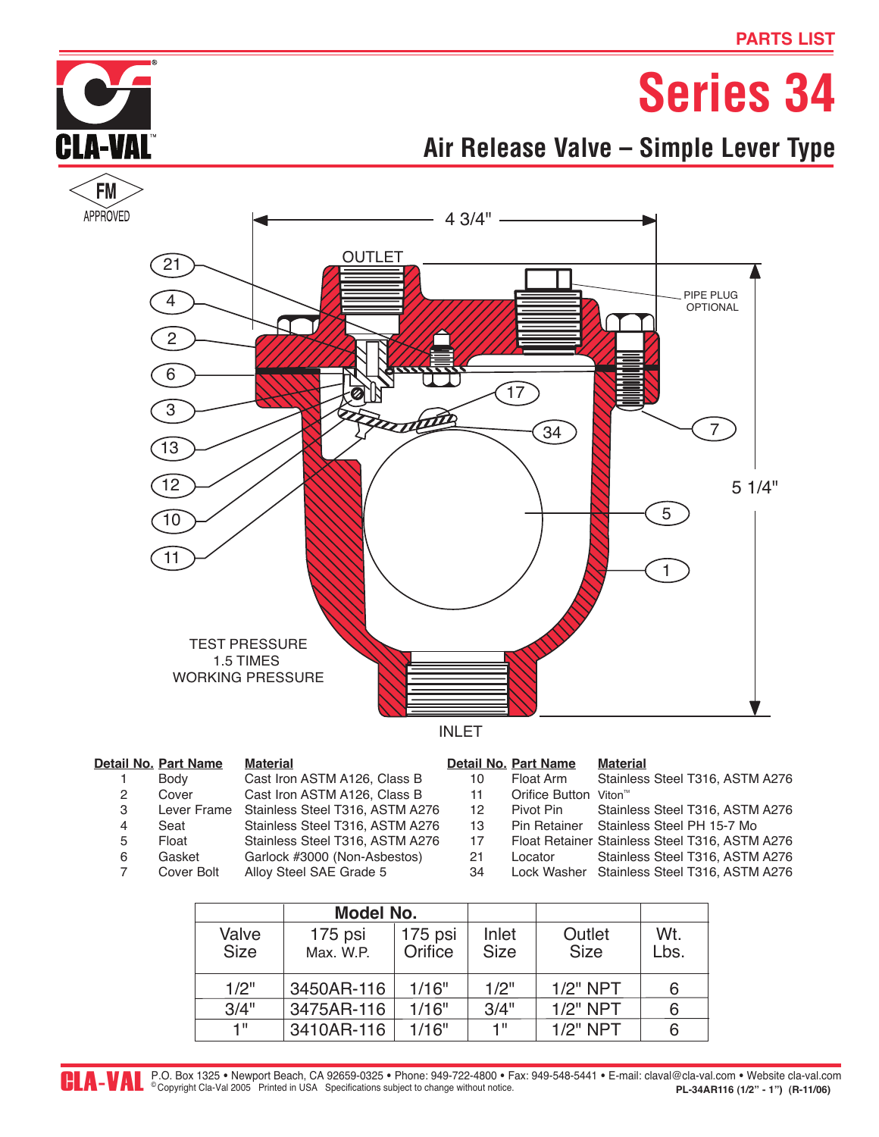

### **Air Release Valve – Simple Lever Type**



|   | etail No. Part Name | <b>Material</b>                 |    | Detail No. Part Name              | <b>Material</b>                                |
|---|---------------------|---------------------------------|----|-----------------------------------|------------------------------------------------|
|   | Body                | Cast Iron ASTM A126, Class B    | 10 | Float Arm                         | Stainless Steel T316, ASTM A276                |
| 2 | Cover               | Cast Iron ASTM A126, Class B    | 11 | Orifice Button Viton <sup>™</sup> |                                                |
| 3 | Lever Frame         | Stainless Steel T316, ASTM A276 | 12 | Pivot Pin                         | Stainless Steel T316, ASTM A276                |
| 4 | Seat                | Stainless Steel T316, ASTM A276 | 13 | Pin Retainer                      | Stainless Steel PH 15-7 Mo                     |
| 5 | Float               | Stainless Steel T316, ASTM A276 | 17 |                                   | Float Retainer Stainless Steel T316, ASTM A276 |
| 6 | Gasket              | Garlock #3000 (Non-Asbestos)    | 21 | Locator                           | Stainless Steel T316, ASTM A276                |
|   | Cover Bolt          | Alloy Steel SAE Grade 5         | 34 |                                   | Lock Washer Stainless Steel T316, ASTM A276    |
|   |                     |                                 |    |                                   |                                                |

|                      | Model No.            |                    |                      |                       |             |
|----------------------|----------------------|--------------------|----------------------|-----------------------|-------------|
| Valve<br><b>Size</b> | 175 psi<br>Max. W.P. | 175 psi<br>Orifice | Inlet<br><b>Size</b> | Outlet<br><b>Size</b> | Wt.<br>Lbs. |
| 1/2"                 | 3450AR-116           | 1/16"              | 1/2"                 | $1/2"$ NPT            | 6           |
| 3/4"                 | 3475AR-116           | 1/16"              | 3/4"                 | $1/2"$ NPT            | 6           |
| 4 !!                 | 3410AR-116           | 1/16"              | 1"                   | $1/2"$ NPT            | 6           |

**CLA-VAL**